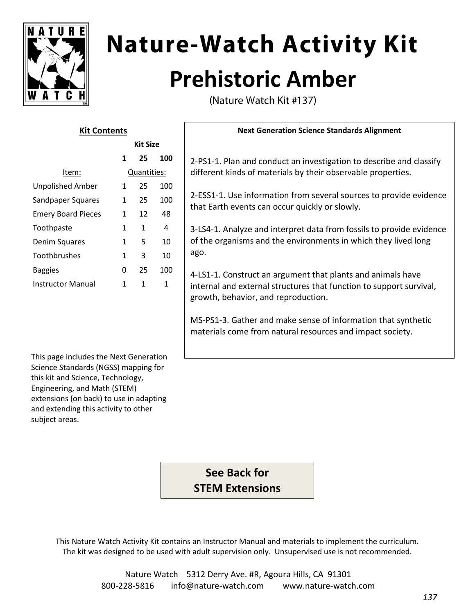

# **Nature-Watch Activity Kit Prehistoric Amber**

(Nature Watch Kit #137)

| <b>Kit Contents</b>       |              |                 |     | <b>Next Generation Science Standards Alignment</b>                                                                                                                        |
|---------------------------|--------------|-----------------|-----|---------------------------------------------------------------------------------------------------------------------------------------------------------------------------|
|                           |              | <b>Kit Size</b> |     |                                                                                                                                                                           |
|                           | 1            | 25              | 100 | 2-PS1-1. Plan and conduct an investigation to describe and classify                                                                                                       |
| Item:                     | Quantities:  |                 |     | different kinds of materials by their observable properties.                                                                                                              |
| <b>Unpolished Amber</b>   | $\mathbf{1}$ | 25              | 100 | 2-ESS1-1. Use information from several sources to provide evidence<br>that Earth events can occur quickly or slowly.                                                      |
| Sandpaper Squares         | $\mathbf{1}$ | 25              | 100 |                                                                                                                                                                           |
| <b>Emery Board Pieces</b> | $\mathbf{1}$ | 12              | 48  |                                                                                                                                                                           |
| Toothpaste                | 1            | 1               | 4   | 3-LS4-1. Analyze and interpret data from fossils to provide evidence<br>of the organisms and the environments in which they lived long<br>ago.                            |
| Denim Squares             | 1            | 5               | 10  |                                                                                                                                                                           |
| Toothbrushes              | 1            | 3               | 10  |                                                                                                                                                                           |
| <b>Baggies</b>            | 0            | 25              | 100 | 4-LS1-1. Construct an argument that plants and animals have<br>internal and external structures that function to support survival,<br>growth, behavior, and reproduction. |
| <b>Instructor Manual</b>  | 1            | 1               | 1   |                                                                                                                                                                           |

MS-PS1-3. Gather and make sense of information that synthetic materials come from natural resources and impact society.

This page includes the Next Generation Science Standards (NGSS) mapping for this kit and Science, Technology, Engineering, and Math (STEM) extensions (on back) to use in adapting and extending this activity to other subject areas.

> **See Back for STEM Extensions**

This Nature Watch Activity Kit contains an Instructor Manual and materials to implement the curriculum. The kit was designed to be used with adult supervision only. Unsupervised use is not recommended.